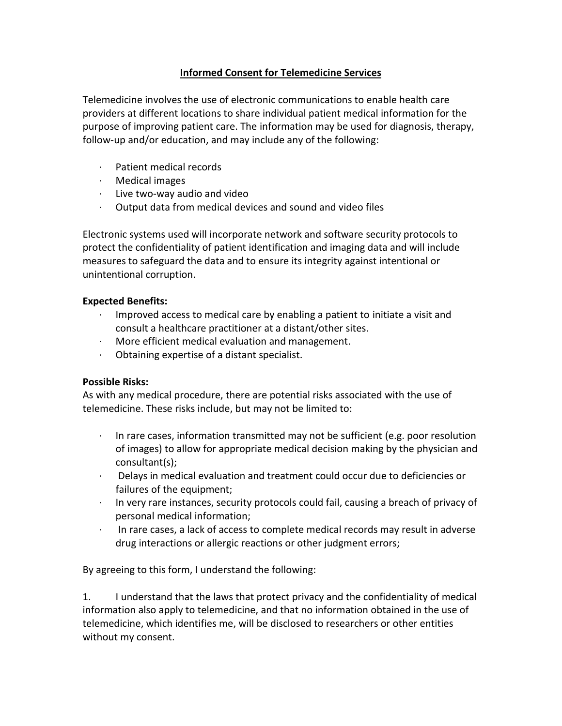## **Informed Consent for Telemedicine Services**

Telemedicine involves the use of electronic communications to enable health care providers at different locations to share individual patient medical information for the purpose of improving patient care. The information may be used for diagnosis, therapy, follow-up and/or education, and may include any of the following:

- · Patient medical records
- · Medical images
- · Live two-way audio and video
- · Output data from medical devices and sound and video files

Electronic systems used will incorporate network and software security protocols to protect the confidentiality of patient identification and imaging data and will include measures to safeguard the data and to ensure its integrity against intentional or unintentional corruption.

## **Expected Benefits:**

- · Improved access to medical care by enabling a patient to initiate a visit and consult a healthcare practitioner at a distant/other sites.
- · More efficient medical evaluation and management.
- · Obtaining expertise of a distant specialist.

## **Possible Risks:**

As with any medical procedure, there are potential risks associated with the use of telemedicine. These risks include, but may not be limited to:

- $\cdot$  In rare cases, information transmitted may not be sufficient (e.g. poor resolution of images) to allow for appropriate medical decision making by the physician and consultant(s);
- · Delays in medical evaluation and treatment could occur due to deficiencies or failures of the equipment;
- · In very rare instances, security protocols could fail, causing a breach of privacy of personal medical information;
- · In rare cases, a lack of access to complete medical records may result in adverse drug interactions or allergic reactions or other judgment errors;

By agreeing to this form, I understand the following:

1. I understand that the laws that protect privacy and the confidentiality of medical information also apply to telemedicine, and that no information obtained in the use of telemedicine, which identifies me, will be disclosed to researchers or other entities without my consent.